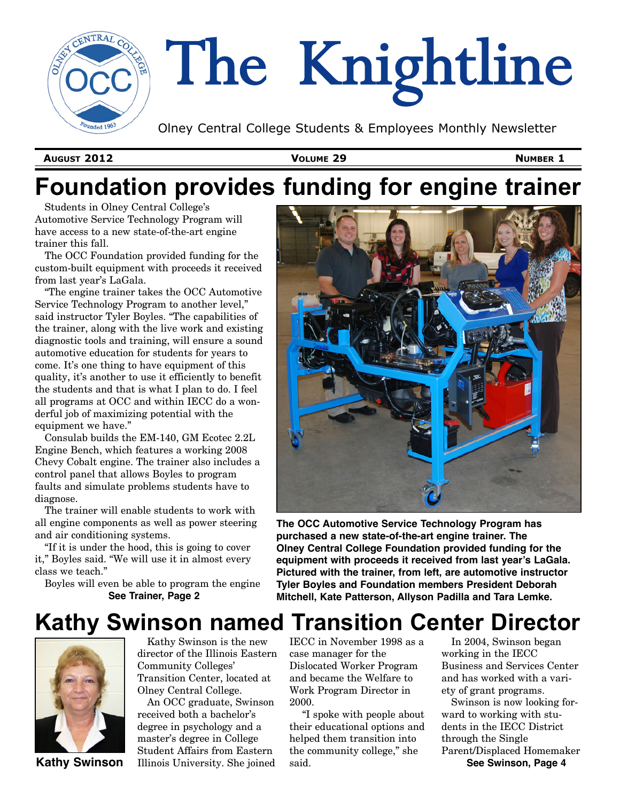

**AUGUST 2012 VOLUME 29 NUMBER 1**

# **Foundation provides funding for engine trainer**

Students in Olney Central College's Automotive Service Technology Program will have access to a new state-of-the-art engine trainer this fall.

The OCC Foundation provided funding for the custom-built equipment with proceeds it received from last year's LaGala.

"The engine trainer takes the OCC Automotive Service Technology Program to another level," said instructor Tyler Boyles. "The capabilities of the trainer, along with the live work and existing diagnostic tools and training, will ensure a sound automotive education for students for years to come. It's one thing to have equipment of this quality, it's another to use it efficiently to benefit the students and that is what I plan to do. I feel all programs at OCC and within IECC do a won- $\det$ ful job of maximizing potential with the equipment we have."

Consulab builds the EM-140, GM Ecotec 2.2L Engine Bench, which features a working 2008 Chevy Cobalt engine. The trainer also includes a control panel that allows Boyles to program faults and simulate problems students have to diagnose.

The trainer will enable students to work with all engine components as well as power steering and air conditioning systems.

"If it is under the hood, this is going to cover it," Boyles said. "We will use it in almost every class we teach."

Boyles will even be able to program the engine **See Trainer, Page 2**



**The OCC Automotive Service Technology Program has purchased a new state-of-the-art engine trainer. The Olney Central College Foundation provided funding for the equipment with proceeds it received from last year!s LaGala. Pictured with the trainer, from left, are automotive instructor Tyler Boyles and Foundation members President Deborah Mitchell, Kate Patterson, Allyson Padilla and Tara Lemke.**

## **Kathy Swinson named Transition Center Director**



Kathy Swinson is the new director of the Illinois Eastern Community Colleges' Transition Center, located at Olney Central College.

An OCC graduate, Swinson received both a bachelor's degree in psychology and a master's degree in College Student Affairs from Eastern **Kathy Swinson** Illinois University. She joined said. The same see Swinson, Page 4

IECC in November 1998 as a case manager for the Dislocated Worker Program and became the Welfare to Work Program Director in 2000.

"I spoke with people about their educational options and helped them transition into the community college," she said.

In 2004, Swinson began working in the IECC Business and Services Center and has worked with a variety of grant programs.

Swinson is now looking forward to working with students in the IECC District through the Single Parent/Displaced Homemaker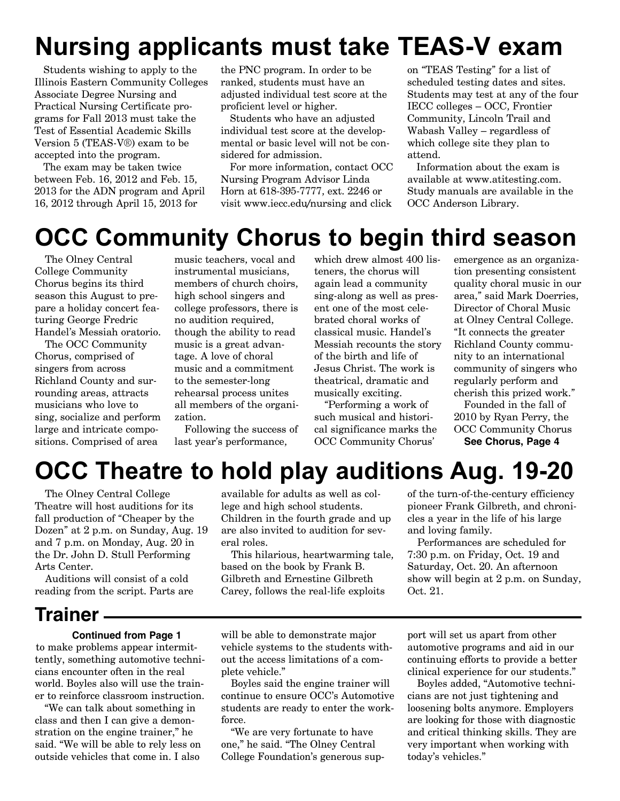# **Nursing applicants must take TEAS-V exam**

Students wishing to apply to the Illinois Eastern Community Colleges Associate Degree Nursing and Practical Nursing Certificate programs for Fall 2013 must take the Test of Essential Academic Skills Version 5 (TEAS-V®) exam to be accepted into the program.

The exam may be taken twice between Feb. 16, 2012 and Feb. 15, 2013 for the ADN program and April 16, 2012 through April 15, 2013 for

the PNC program. In order to be ranked, students must have an adjusted individual test score at the proficient level or higher.

Students who have an adjusted individual test score at the developmental or basic level will not be considered for admission.

For more information, contact OCC Nursing Program Advisor Linda Horn at 618-395-7777, ext. 2246 or visit www.iecc.edu/nursing and click

on "TEAS Testing" for a list of scheduled testing dates and sites. Students may test at any of the four IECC colleges – OCC, Frontier Community, Lincoln Trail and Wabash Valley – regardless of which college site they plan to attend.

Information about the exam is available at www.atitesting.com. Study manuals are available in the OCC Anderson Library.

## **OCC Community Chorus to begin third season**

The Olney Central College Community Chorus begins its third season this August to prepare a holiday concert featuring George Fredric Handel's Messiah oratorio.

The OCC Community Chorus, comprised of singers from across Richland County and surrounding areas, attracts musicians who love to sing, socialize and perform large and intricate compositions. Comprised of area

music teachers, vocal and instrumental musicians, members of church choirs, high school singers and college professors, there is no audition required, though the ability to read music is a great advantage. A love of choral music and a commitment to the semester-long rehearsal process unites all members of the organization.

Following the success of last year's performance,

which drew almost 400 listeners, the chorus will again lead a community sing-along as well as present one of the most celebrated choral works of classical music. Handel's Messiah recounts the story of the birth and life of Jesus Christ. The work is theatrical, dramatic and musically exciting.

"Performing a work of such musical and historical significance marks the OCC Community Chorus'

emergence as an organization presenting consistent quality choral music in our area," said Mark Doerries, Director of Choral Music at Olney Central College. "It connects the greater Richland County community to an international community of singers who regularly perform and cherish this prized work."

Founded in the fall of 2010 by Ryan Perry, the OCC Community Chorus **See Chorus, Page 4**

# **OCC Theatre to hold play auditions Aug. 19-20**

The Olney Central College Theatre will host auditions for its fall production of "Cheaper by the Dozen" at 2 p.m. on Sunday, Aug. 19 and 7 p.m. on Monday, Aug. 20 in the Dr. John D. Stull Performing Arts Center.

Auditions will consist of a cold reading from the script. Parts are

### **Trainer**

#### **Continued from Page 1**

to make problems appear intermittently, something automotive technicians encounter often in the real world. Boyles also will use the trainer to reinforce classroom instruction.

"We can talk about something in class and then I can give a demonstration on the engine trainer," he said. "We will be able to rely less on outside vehicles that come in. I also

available for adults as well as college and high school students. Children in the fourth grade and up are also invited to audition for several roles.

This hilarious, heartwarming tale, based on the book by Frank B. Gilbreth and Ernestine Gilbreth Carey, follows the real-life exploits

of the turn-of-the-century efficiency pioneer Frank Gilbreth, and chronicles a year in the life of his large and loving family.

Performances are scheduled for 7:30 p.m. on Friday, Oct. 19 and Saturday, Oct. 20. An afternoon show will begin at 2 p.m. on Sunday, Oct. 21.

will be able to demonstrate major vehicle systems to the students without the access limitations of a complete vehicle."

Boyles said the engine trainer will continue to ensure OCC's Automotive students are ready to enter the workforce.

"We are very fortunate to have one," he said. "The Olney Central College Foundation's generous support will set us apart from other automotive programs and aid in our continuing efforts to provide a better clinical experience for our students."

Boyles added, "Automotive technicians are not just tightening and loosening bolts anymore. Employers are looking for those with diagnostic and critical thinking skills. They are very important when working with today's vehicles."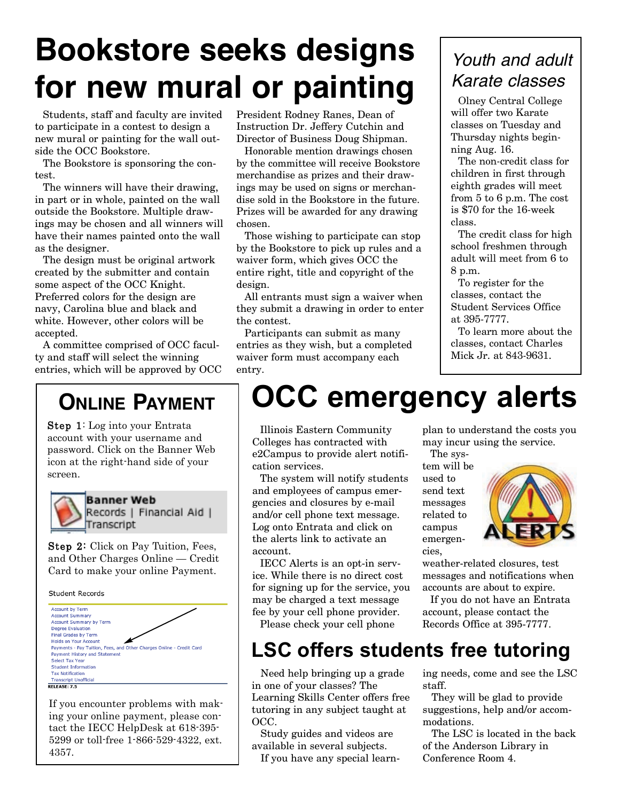# **Bookstore seeks designs for new mural or painting**

Students, staff and faculty are invited to participate in a contest to design a new mural or painting for the wall outside the OCC Bookstore.

The Bookstore is sponsoring the contest.

The winners will have their drawing, in part or in whole, painted on the wall outside the Bookstore. Multiple drawings may be chosen and all winners will have their names painted onto the wall as the designer.

The design must be original artwork created by the submitter and contain some aspect of the OCC Knight. Preferred colors for the design are navy, Carolina blue and black and white. However, other colors will be accepted.

A committee comprised of OCC faculty and staff will select the winning entries, which will be approved by OCC

## **ONLINE PAYMENT**

Step 1: Log into your Entrata account with your username and password. Click on the Banner Web icon at the right-hand side of your screen.



**Banner Web** Records | Financial Aid | Transcript

Step 2: Click on Pay Tuition, Fees, and Other Charges Online — Credit Card to make your online Payment.

Student Records



If you encounter problems with making your online payment, please contact the IECC HelpDesk at 618-395- 5299 or toll-free 1-866-529-4322, ext. 4357.

President Rodney Ranes, Dean of Instruction Dr. Jeffery Cutchin and Director of Business Doug Shipman.

Honorable mention drawings chosen by the committee will receive Bookstore merchandise as prizes and their drawings may be used on signs or merchandise sold in the Bookstore in the future. Prizes will be awarded for any drawing chosen.

Those wishing to participate can stop by the Bookstore to pick up rules and a waiver form, which gives OCC the entire right, title and copyright of the design.

All entrants must sign a waiver when they submit a drawing in order to enter the contest.

Participants can submit as many entries as they wish, but a completed waiver form must accompany each entry.

## *Youth and adult Karate classes*

Olney Central College will offer two Karate classes on Tuesday and Thursday nights beginning Aug. 16.

The non-credit class for children in first through eighth grades will meet from 5 to 6 p.m. The cost is \$70 for the 16-week class.

The credit class for high school freshmen through adult will meet from 6 to 8 p.m.

To register for the classes, contact the Student Services Office at 395-7777.

To learn more about the classes, contact Charles Mick Jr. at 843-9631.

# **OCC emergency alerts**

Illinois Eastern Community Colleges has contracted with e2Campus to provide alert notification services.

The system will notify students and employees of campus emergencies and closures by e-mail and/or cell phone text message. Log onto Entrata and click on the alerts link to activate an account.

IECC Alerts is an opt-in service. While there is no direct cost for signing up for the service, you may be charged a text message fee by your cell phone provider. Please check your cell phone

plan to understand the costs you may incur using the service.

The system will be used to send text messages related to campus emergencies.



weather-related closures, test messages and notifications when accounts are about to expire.

If you do not have an Entrata account, please contact the Records Office at 395-7777.

## **LSC offers students free tutoring**

Need help bringing up a grade in one of your classes? The Learning Skills Center offers free tutoring in any subject taught at OCC.

Study guides and videos are available in several subjects.

If you have any special learn-

ing needs, come and see the LSC staff.

They will be glad to provide suggestions, help and/or accommodations.

The LSC is located in the back of the Anderson Library in Conference Room 4.